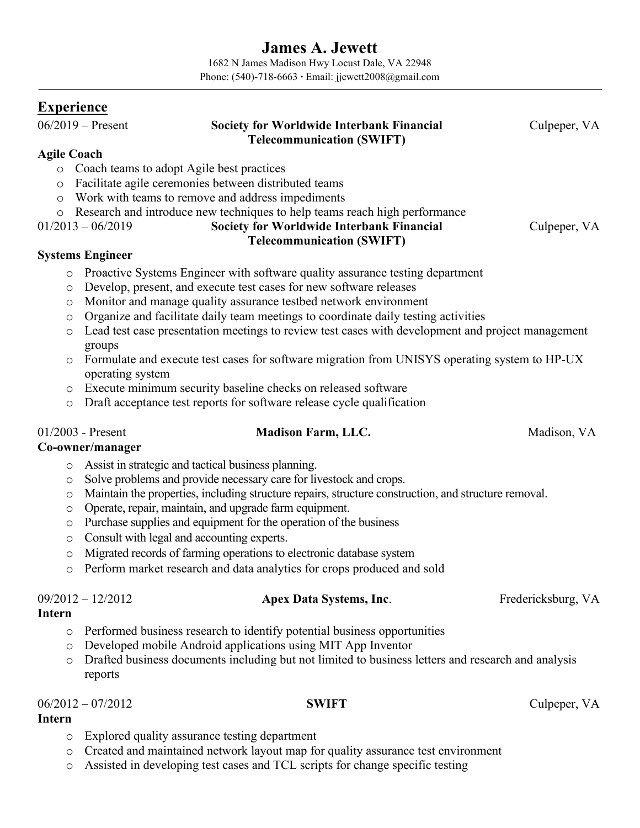# **James A. Jewett**

1682 N James Madison Hwy Locust Dale, VA 22948 Phone: (540)-718-6663 **∙** Email: jjewett2008@gmail.com

### **Experience**

### 06/2019 – Present **Society for Worldwide Interbank Financial Telecommunication (SWIFT)**

Culpeper, VA

### **Agile Coach**

- o Coach teams to adopt Agile best practices
- o Facilitate agile ceremonies between distributed teams
- o Work with teams to remove and address impediments
- o Research and introduce new techniques to help teams reach high performance

01/2013 – 06/2019 **Society for Worldwide Interbank Financial** 

# **Telecommunication (SWIFT)**

#### **Systems Engineer**

- o Proactive Systems Engineer with software quality assurance testing department
- o Develop, present, and execute test cases for new software releases
- o Monitor and manage quality assurance testbed network environment
- o Organize and facilitate daily team meetings to coordinate daily testing activities
- o Lead test case presentation meetings to review test cases with development and project management groups
- o Formulate and execute test cases for software migration from UNISYS operating system to HP-UX operating system
- o Execute minimum security baseline checks on released software
- o Draft acceptance test reports for software release cycle qualification

### 01/2003 - Present **Madison Farm, LLC.** Madison, VA

#### **Co-owner/manager**

- o Assist in strategic and tactical business planning.
- o Solve problems and provide necessary care for livestock and crops.
- o Maintain the properties, including structure repairs, structure construction, and structure removal.
- o Operate, repair, maintain, and upgrade farm equipment.
- o Purchase supplies and equipment for the operation of the business
- o Consult with legal and accounting experts.
- o Migrated records of farming operations to electronic database system
- o Perform market research and data analytics for crops produced and sold

# 09/2012 – 12/2012 **Apex Data Systems, Inc**. Fredericksburg, VA

#### **Intern**

- o Performed business research to identify potential business opportunities
- o Developed mobile Android applications using MIT App Inventor
- o Drafted business documents including but not limited to business letters and research and analysis reports

#### 06/2012 – 07/2012 **SWIFT** Culpeper, VA

- **Intern**
	- o Explored quality assurance testing department
	- o Created and maintained network layout map for quality assurance test environment
	- o Assisted in developing test cases and TCL scripts for change specific testing

Culpeper, VA